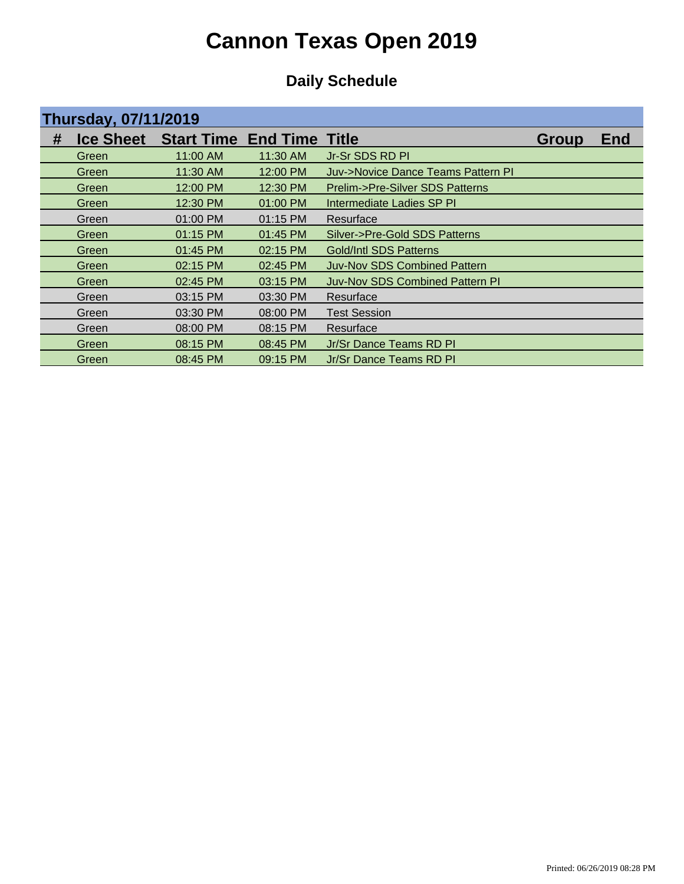| <b>Thursday, 07/11/2019</b> |       |                                            |          |                                        |              |            |  |
|-----------------------------|-------|--------------------------------------------|----------|----------------------------------------|--------------|------------|--|
| #                           |       | <b>Ice Sheet</b> Start Time End Time Title |          |                                        | <b>Group</b> | <b>End</b> |  |
|                             | Green | 11:00 AM                                   | 11:30 AM | Jr-Sr SDS RD PI                        |              |            |  |
|                             | Green | 11:30 AM                                   | 12:00 PM | Juv->Novice Dance Teams Pattern PI     |              |            |  |
|                             | Green | 12:00 PM                                   | 12:30 PM | Prelim->Pre-Silver SDS Patterns        |              |            |  |
|                             | Green | 12:30 PM                                   | 01:00 PM | Intermediate Ladies SP PI              |              |            |  |
|                             | Green | 01:00 PM                                   | 01:15 PM | Resurface                              |              |            |  |
|                             | Green | 01:15 PM                                   | 01:45 PM | Silver->Pre-Gold SDS Patterns          |              |            |  |
|                             | Green | 01:45 PM                                   | 02:15 PM | Gold/Intl SDS Patterns                 |              |            |  |
|                             | Green | 02:15 PM                                   | 02:45 PM | Juv-Nov SDS Combined Pattern           |              |            |  |
|                             | Green | 02:45 PM                                   | 03:15 PM | <b>Juv-Nov SDS Combined Pattern PI</b> |              |            |  |
|                             | Green | 03:15 PM                                   | 03:30 PM | Resurface                              |              |            |  |
|                             | Green | 03:30 PM                                   | 08:00 PM | <b>Test Session</b>                    |              |            |  |
|                             | Green | 08:00 PM                                   | 08:15 PM | Resurface                              |              |            |  |
|                             | Green | 08:15 PM                                   | 08:45 PM | Jr/Sr Dance Teams RD PI                |              |            |  |
|                             | Green | 08:45 PM                                   | 09:15 PM | Jr/Sr Dance Teams RD PI                |              |            |  |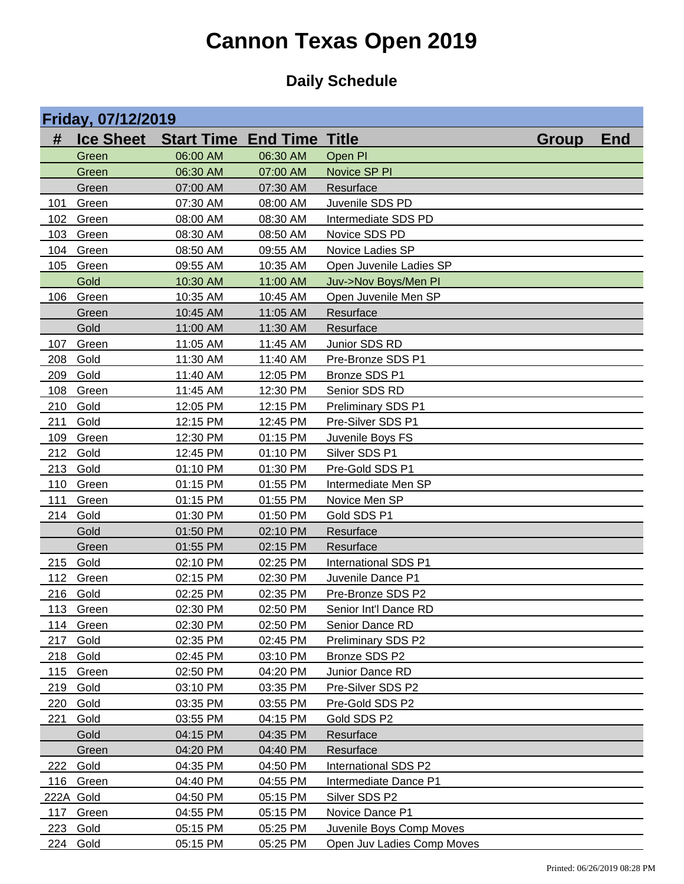|            | Friday, 07/12/2019 |                                  |                      |                                           |              |            |  |  |
|------------|--------------------|----------------------------------|----------------------|-------------------------------------------|--------------|------------|--|--|
| #          | <b>Ice Sheet</b>   | <b>Start Time End Time Title</b> |                      |                                           | <b>Group</b> | <b>End</b> |  |  |
|            | Green              | 06:00 AM                         | 06:30 AM             | Open PI                                   |              |            |  |  |
|            | Green              | 06:30 AM                         | 07:00 AM             | Novice SP PI                              |              |            |  |  |
|            | Green              | 07:00 AM                         | 07:30 AM             | Resurface                                 |              |            |  |  |
| 101        | Green              | 07:30 AM                         | 08:00 AM             | Juvenile SDS PD                           |              |            |  |  |
| 102        | Green              | 08:00 AM                         | 08:30 AM             | Intermediate SDS PD                       |              |            |  |  |
| 103        | Green              | 08:30 AM                         | 08:50 AM             | Novice SDS PD                             |              |            |  |  |
| 104        | Green              | 08:50 AM                         | 09:55 AM             | Novice Ladies SP                          |              |            |  |  |
| 105        | Green              | 09:55 AM                         | 10:35 AM             | Open Juvenile Ladies SP                   |              |            |  |  |
|            | Gold               | 10:30 AM                         | 11:00 AM             | Juv->Nov Boys/Men PI                      |              |            |  |  |
| 106        | Green              | 10:35 AM                         | 10:45 AM             | Open Juvenile Men SP                      |              |            |  |  |
|            | Green              | 10:45 AM                         | 11:05 AM             | Resurface                                 |              |            |  |  |
|            | Gold               | 11:00 AM                         | 11:30 AM             | Resurface                                 |              |            |  |  |
| 107        | Green              | 11:05 AM                         | 11:45 AM             | Junior SDS RD                             |              |            |  |  |
| 208        | Gold               | 11:30 AM                         | 11:40 AM             | Pre-Bronze SDS P1                         |              |            |  |  |
| 209        | Gold               | 11:40 AM                         | 12:05 PM             | Bronze SDS P1                             |              |            |  |  |
| 108        | Green              | 11:45 AM                         | 12:30 PM             | Senior SDS RD                             |              |            |  |  |
| 210        | Gold               | 12:05 PM                         | 12:15 PM             | Preliminary SDS P1                        |              |            |  |  |
| 211        | Gold               | 12:15 PM                         | 12:45 PM             | Pre-Silver SDS P1                         |              |            |  |  |
| 109        | Green              | 12:30 PM                         | 01:15 PM             | Juvenile Boys FS                          |              |            |  |  |
| 212        | Gold               | 12:45 PM                         | 01:10 PM             | Silver SDS P1                             |              |            |  |  |
| 213        | Gold               | 01:10 PM                         | 01:30 PM             | Pre-Gold SDS P1                           |              |            |  |  |
| 110        | Green              | 01:15 PM                         | 01:55 PM             | Intermediate Men SP                       |              |            |  |  |
| 111        | Green              | 01:15 PM                         | 01:55 PM             | Novice Men SP                             |              |            |  |  |
| 214        | Gold               | 01:30 PM                         | 01:50 PM             | Gold SDS P1                               |              |            |  |  |
|            | Gold               | 01:50 PM                         | 02:10 PM             | Resurface                                 |              |            |  |  |
|            | Green              | 01:55 PM                         | 02:15 PM             | Resurface                                 |              |            |  |  |
| 215        | Gold               | 02:10 PM                         | 02:25 PM             | International SDS P1<br>Juvenile Dance P1 |              |            |  |  |
| 112<br>216 | Green<br>Gold      | 02:15 PM<br>02:25 PM             | 02:30 PM<br>02:35 PM | Pre-Bronze SDS P2                         |              |            |  |  |
|            | 113 Green          | 02:30 PM                         | 02:50 PM             | Senior Int'l Dance RD                     |              |            |  |  |
| 114        | Green              | 02:30 PM                         | 02:50 PM             | Senior Dance RD                           |              |            |  |  |
| 217        | Gold               | 02:35 PM                         | 02:45 PM             | Preliminary SDS P2                        |              |            |  |  |
| 218        | Gold               | 02:45 PM                         | 03:10 PM             | Bronze SDS P2                             |              |            |  |  |
| 115        | Green              | 02:50 PM                         | 04:20 PM             | Junior Dance RD                           |              |            |  |  |
| 219        | Gold               | 03:10 PM                         | 03:35 PM             | Pre-Silver SDS P2                         |              |            |  |  |
| 220        | Gold               | 03:35 PM                         | 03:55 PM             | Pre-Gold SDS P2                           |              |            |  |  |
| 221        | Gold               | 03:55 PM                         | 04:15 PM             | Gold SDS P2                               |              |            |  |  |
|            | Gold               | 04:15 PM                         | 04:35 PM             | Resurface                                 |              |            |  |  |
|            | Green              | 04:20 PM                         | 04:40 PM             | Resurface                                 |              |            |  |  |
| 222        | Gold               | 04:35 PM                         | 04:50 PM             | International SDS P2                      |              |            |  |  |
| 116        | Green              | 04:40 PM                         | 04:55 PM             | Intermediate Dance P1                     |              |            |  |  |
| 222A Gold  |                    | 04:50 PM                         | 05:15 PM             | Silver SDS P2                             |              |            |  |  |
| 117        | Green              | 04:55 PM                         | 05:15 PM             | Novice Dance P1                           |              |            |  |  |
| 223        | Gold               | 05:15 PM                         | 05:25 PM             | Juvenile Boys Comp Moves                  |              |            |  |  |
| 224        | Gold               | 05:15 PM                         | 05:25 PM             | Open Juv Ladies Comp Moves                |              |            |  |  |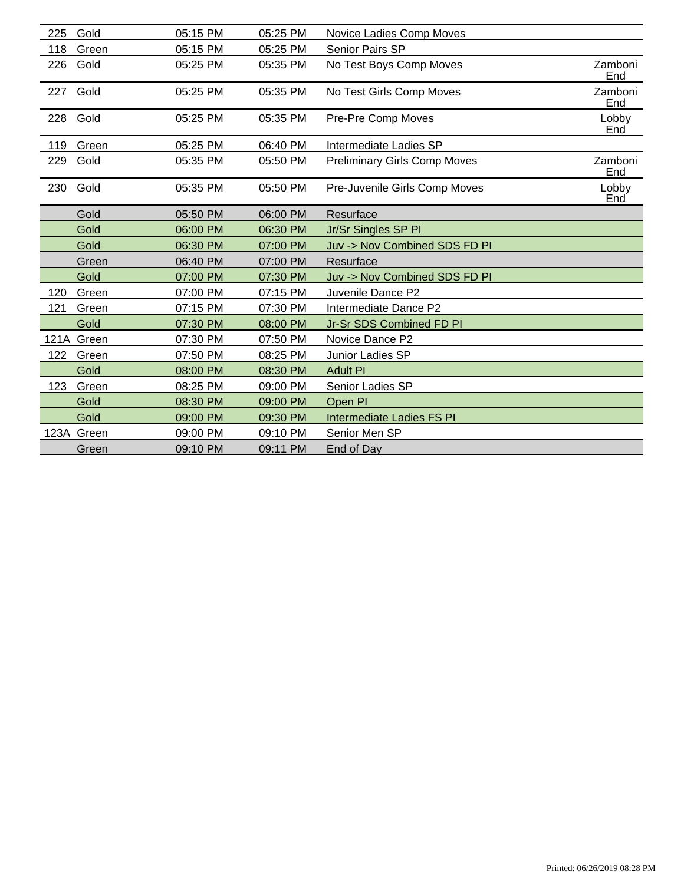| 225  | Gold       | 05:15 PM | 05:25 PM | Novice Ladies Comp Moves            |                |
|------|------------|----------|----------|-------------------------------------|----------------|
| 118  | Green      | 05:15 PM | 05:25 PM | Senior Pairs SP                     |                |
| 226  | Gold       | 05:25 PM | 05:35 PM | No Test Boys Comp Moves             | Zamboni<br>End |
| 227  | Gold       | 05:25 PM | 05:35 PM | No Test Girls Comp Moves            | Zamboni<br>End |
| 228  | Gold       | 05:25 PM | 05:35 PM | Pre-Pre Comp Moves                  | Lobby<br>End   |
| 119  | Green      | 05:25 PM | 06:40 PM | Intermediate Ladies SP              |                |
| 229  | Gold       | 05:35 PM | 05:50 PM | <b>Preliminary Girls Comp Moves</b> | Zamboni<br>End |
| 230  | Gold       | 05:35 PM | 05:50 PM | Pre-Juvenile Girls Comp Moves       | Lobby<br>End   |
|      | Gold       | 05:50 PM | 06:00 PM | Resurface                           |                |
|      | Gold       | 06:00 PM | 06:30 PM | Jr/Sr Singles SP PI                 |                |
|      | Gold       | 06:30 PM | 07:00 PM | Juv -> Nov Combined SDS FD PI       |                |
|      | Green      | 06:40 PM | 07:00 PM | Resurface                           |                |
|      | Gold       | 07:00 PM | 07:30 PM | Juv -> Nov Combined SDS FD PI       |                |
| 120  | Green      | 07:00 PM | 07:15 PM | Juvenile Dance P2                   |                |
| 121  | Green      | 07:15 PM | 07:30 PM | Intermediate Dance P2               |                |
|      | Gold       | 07:30 PM | 08:00 PM | Jr-Sr SDS Combined FD PI            |                |
|      | 121A Green | 07:30 PM | 07:50 PM | Novice Dance P2                     |                |
| 122  | Green      | 07:50 PM | 08:25 PM | Junior Ladies SP                    |                |
|      | Gold       | 08:00 PM | 08:30 PM | <b>Adult PI</b>                     |                |
| 123  | Green      | 08:25 PM | 09:00 PM | Senior Ladies SP                    |                |
|      | Gold       | 08:30 PM | 09:00 PM | Open PI                             |                |
|      | Gold       | 09:00 PM | 09:30 PM | <b>Intermediate Ladies FS PI</b>    |                |
| 123A | Green      | 09:00 PM | 09:10 PM | Senior Men SP                       |                |
|      | Green      | 09:10 PM | 09:11 PM | End of Day                          |                |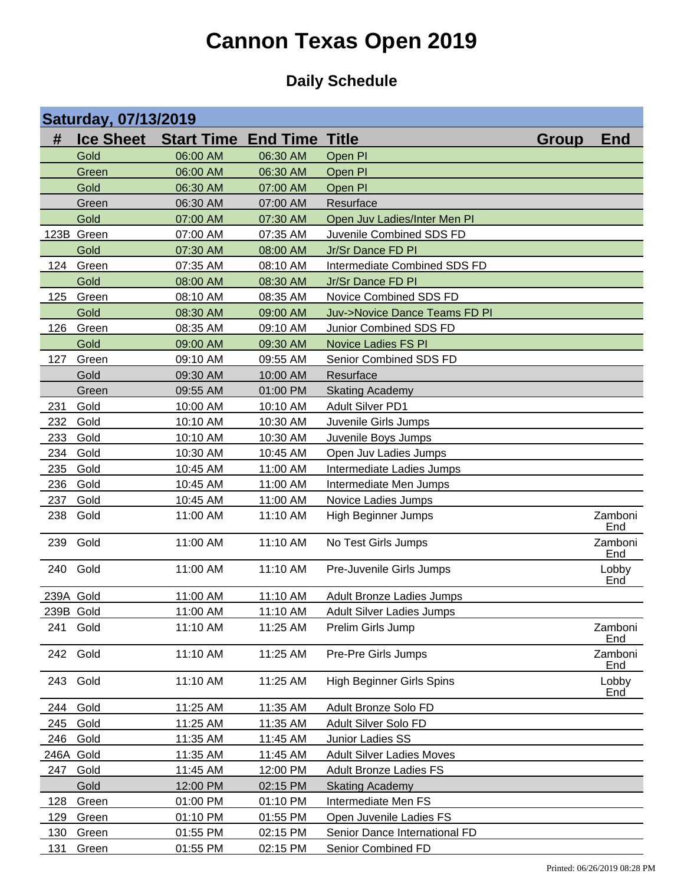|            | <b>Saturday, 07/13/2019</b> |                                  |          |                                         |              |                |  |  |
|------------|-----------------------------|----------------------------------|----------|-----------------------------------------|--------------|----------------|--|--|
| #          | <b>Ice Sheet</b>            | <b>Start Time End Time Title</b> |          |                                         | <b>Group</b> | <b>End</b>     |  |  |
|            | Gold                        | 06:00 AM                         | 06:30 AM | Open PI                                 |              |                |  |  |
|            | Green                       | 06:00 AM                         | 06:30 AM | Open PI                                 |              |                |  |  |
|            | Gold                        | 06:30 AM                         | 07:00 AM | Open PI                                 |              |                |  |  |
|            | Green                       | 06:30 AM                         | 07:00 AM | Resurface                               |              |                |  |  |
|            | Gold                        | 07:00 AM                         | 07:30 AM | Open Juv Ladies/Inter Men PI            |              |                |  |  |
|            | 123B Green                  | 07:00 AM                         | 07:35 AM | Juvenile Combined SDS FD                |              |                |  |  |
|            | Gold                        | 07:30 AM                         | 08:00 AM | Jr/Sr Dance FD PI                       |              |                |  |  |
| 124        | Green                       | 07:35 AM                         | 08:10 AM | Intermediate Combined SDS FD            |              |                |  |  |
|            | Gold                        | 08:00 AM                         | 08:30 AM | Jr/Sr Dance FD PI                       |              |                |  |  |
| 125        | Green                       | 08:10 AM                         | 08:35 AM | Novice Combined SDS FD                  |              |                |  |  |
|            | Gold                        | 08:30 AM                         | 09:00 AM | <b>Juv-&gt;Novice Dance Teams FD PI</b> |              |                |  |  |
| 126        | Green                       | 08:35 AM                         | 09:10 AM | Junior Combined SDS FD                  |              |                |  |  |
|            | Gold                        | 09:00 AM                         | 09:30 AM | Novice Ladies FS PI                     |              |                |  |  |
| 127        | Green                       | 09:10 AM                         | 09:55 AM | Senior Combined SDS FD                  |              |                |  |  |
|            | Gold                        | 09:30 AM                         | 10:00 AM | Resurface                               |              |                |  |  |
|            | Green                       | 09:55 AM                         | 01:00 PM | <b>Skating Academy</b>                  |              |                |  |  |
| 231        | Gold                        | 10:00 AM                         | 10:10 AM | <b>Adult Silver PD1</b>                 |              |                |  |  |
| 232        | Gold                        | 10:10 AM                         | 10:30 AM | Juvenile Girls Jumps                    |              |                |  |  |
| 233        | Gold                        | 10:10 AM                         | 10:30 AM | Juvenile Boys Jumps                     |              |                |  |  |
| 234        | Gold                        | 10:30 AM                         | 10:45 AM | Open Juv Ladies Jumps                   |              |                |  |  |
| 235        | Gold                        | 10:45 AM                         | 11:00 AM | Intermediate Ladies Jumps               |              |                |  |  |
| 236        | Gold                        | 10:45 AM                         | 11:00 AM | Intermediate Men Jumps                  |              |                |  |  |
| 237        | Gold                        | 10:45 AM                         | 11:00 AM | Novice Ladies Jumps                     |              |                |  |  |
| 238        | Gold                        | 11:00 AM                         | 11:10 AM | <b>High Beginner Jumps</b>              |              | Zamboni<br>End |  |  |
| 239        | Gold                        | 11:00 AM                         | 11:10 AM | No Test Girls Jumps                     |              | Zamboni<br>End |  |  |
|            | 240 Gold                    | 11:00 AM                         | 11:10 AM | Pre-Juvenile Girls Jumps                |              | Lobby<br>End   |  |  |
| 239A Gold  |                             | 11:00 AM                         | 11:10 AM | <b>Adult Bronze Ladies Jumps</b>        |              |                |  |  |
| 239B Gold  |                             | 11:00 AM                         | 11:10 AM | Adult Silver Ladies Jumps               |              |                |  |  |
| 241        | Gold                        | 11:10 AM                         | 11:25 AM | Prelim Girls Jump                       |              | Zamboni<br>End |  |  |
|            | 242 Gold                    | 11:10 AM                         | 11:25 AM | Pre-Pre Girls Jumps                     |              | Zamboni<br>End |  |  |
|            | 243 Gold                    | 11:10 AM                         | 11:25 AM | <b>High Beginner Girls Spins</b>        |              | Lobby<br>End   |  |  |
| 244        | Gold                        | 11:25 AM                         | 11:35 AM | Adult Bronze Solo FD                    |              |                |  |  |
| 245        | Gold                        | 11:25 AM                         | 11:35 AM | Adult Silver Solo FD                    |              |                |  |  |
| 246        | Gold                        | 11:35 AM                         | 11:45 AM | Junior Ladies SS                        |              |                |  |  |
| 246A       | Gold                        | 11:35 AM                         | 11:45 AM | <b>Adult Silver Ladies Moves</b>        |              |                |  |  |
| 247        | Gold                        | 11:45 AM                         | 12:00 PM | <b>Adult Bronze Ladies FS</b>           |              |                |  |  |
|            | Gold                        | 12:00 PM                         | 02:15 PM | <b>Skating Academy</b>                  |              |                |  |  |
| 128        | Green                       | 01:00 PM                         | 01:10 PM | Intermediate Men FS                     |              |                |  |  |
| <u>129</u> | Green                       | 01:10 PM                         | 01:55 PM | Open Juvenile Ladies FS                 |              |                |  |  |
| 130        | Green                       | 01:55 PM                         | 02:15 PM | Senior Dance International FD           |              |                |  |  |
| 131        | Green                       | 01:55 PM                         | 02:15 PM | Senior Combined FD                      |              |                |  |  |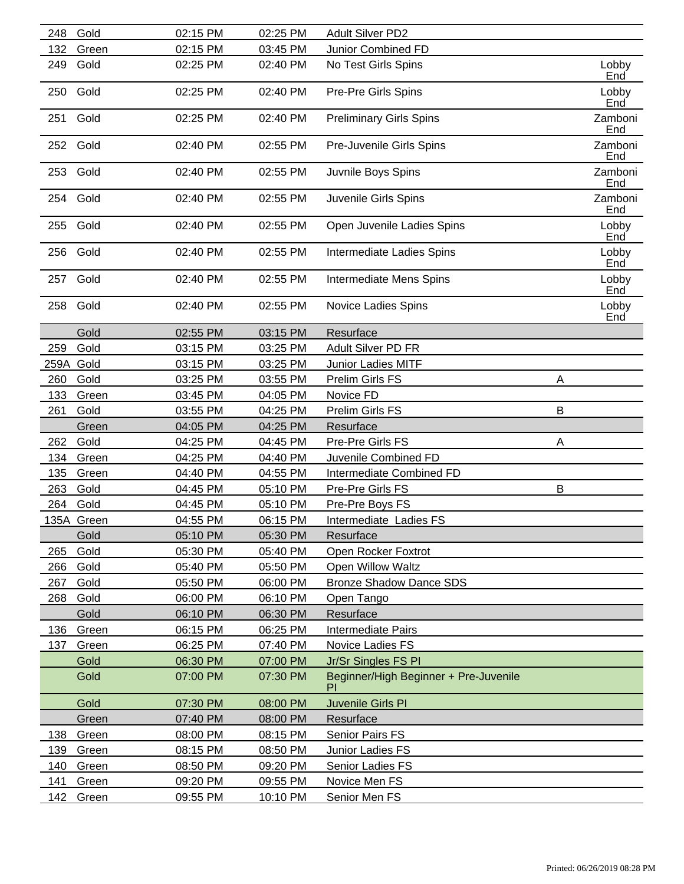| 248  | Gold       | 02:15 PM | 02:25 PM | Adult Silver PD2                      |   |                |
|------|------------|----------|----------|---------------------------------------|---|----------------|
| 132  | Green      | 02:15 PM | 03:45 PM | Junior Combined FD                    |   |                |
| 249  | Gold       | 02:25 PM | 02:40 PM | No Test Girls Spins                   |   | Lobby<br>End   |
| 250  | Gold       | 02:25 PM | 02:40 PM | Pre-Pre Girls Spins                   |   | Lobby<br>End   |
| 251  | Gold       | 02:25 PM | 02:40 PM | <b>Preliminary Girls Spins</b>        |   | Zamboni<br>End |
| 252  | Gold       | 02:40 PM | 02:55 PM | Pre-Juvenile Girls Spins              |   | Zamboni<br>End |
| 253  | Gold       | 02:40 PM | 02:55 PM | Juvnile Boys Spins                    |   | Zamboni<br>End |
|      | 254 Gold   | 02:40 PM | 02:55 PM | Juvenile Girls Spins                  |   | Zamboni<br>End |
| 255  | Gold       | 02:40 PM | 02:55 PM | Open Juvenile Ladies Spins            |   | Lobby<br>End   |
| 256  | Gold       | 02:40 PM | 02:55 PM | Intermediate Ladies Spins             |   | Lobby<br>End   |
| 257  | Gold       | 02:40 PM | 02:55 PM | Intermediate Mens Spins               |   | Lobby<br>End   |
| 258  | Gold       | 02:40 PM | 02:55 PM | Novice Ladies Spins                   |   | Lobby<br>End   |
|      | Gold       | 02:55 PM | 03:15 PM | Resurface                             |   |                |
| 259  | Gold       | 03:15 PM | 03:25 PM | Adult Silver PD FR                    |   |                |
| 259A | Gold       | 03:15 PM | 03:25 PM | Junior Ladies MITF                    |   |                |
| 260  | Gold       | 03:25 PM | 03:55 PM | Prelim Girls FS                       | Α |                |
| 133  | Green      | 03:45 PM | 04:05 PM | Novice FD                             |   |                |
| 261  | Gold       | 03:55 PM | 04:25 PM | Prelim Girls FS                       | B |                |
|      | Green      | 04:05 PM | 04:25 PM | Resurface                             |   |                |
| 262  | Gold       | 04:25 PM | 04:45 PM | Pre-Pre Girls FS                      | Α |                |
| 134  | Green      | 04:25 PM | 04:40 PM | Juvenile Combined FD                  |   |                |
| 135  | Green      | 04:40 PM | 04:55 PM | Intermediate Combined FD              |   |                |
| 263  | Gold       | 04:45 PM | 05:10 PM | Pre-Pre Girls FS                      | B |                |
| 264  | Gold       | 04:45 PM | 05:10 PM | Pre-Pre Boys FS                       |   |                |
|      | 135A Green | 04:55 PM | 06:15 PM | Intermediate Ladies FS                |   |                |
|      | Gold       | 05:10 PM | 05:30 PM | Resurface                             |   |                |
| 265  | Gold       | 05:30 PM | 05:40 PM | Open Rocker Foxtrot                   |   |                |
| 266  | Gold       | 05:40 PM | 05:50 PM | Open Willow Waltz                     |   |                |
| 267  | Gold       | 05:50 PM | 06:00 PM | <b>Bronze Shadow Dance SDS</b>        |   |                |
| 268  | Gold       | 06:00 PM | 06:10 PM | Open Tango                            |   |                |
|      | Gold       | 06:10 PM | 06:30 PM | Resurface                             |   |                |
| 136  | Green      | 06:15 PM | 06:25 PM | Intermediate Pairs                    |   |                |
| 137  | Green      | 06:25 PM | 07:40 PM | Novice Ladies FS                      |   |                |
|      | Gold       | 06:30 PM | 07:00 PM | Jr/Sr Singles FS PI                   |   |                |
|      | Gold       | 07:00 PM | 07:30 PM | Beginner/High Beginner + Pre-Juvenile |   |                |
|      | Gold       | 07:30 PM | 08:00 PM | Juvenile Girls PI                     |   |                |
|      | Green      | 07:40 PM | 08:00 PM | Resurface                             |   |                |
| 138  | Green      | 08:00 PM | 08:15 PM | Senior Pairs FS                       |   |                |
| 139  | Green      | 08:15 PM | 08:50 PM | Junior Ladies FS                      |   |                |
| 140  | Green      | 08:50 PM | 09:20 PM | Senior Ladies FS                      |   |                |
| 141  | Green      | 09:20 PM | 09:55 PM | Novice Men FS                         |   |                |
| 142  | Green      | 09:55 PM | 10:10 PM | Senior Men FS                         |   |                |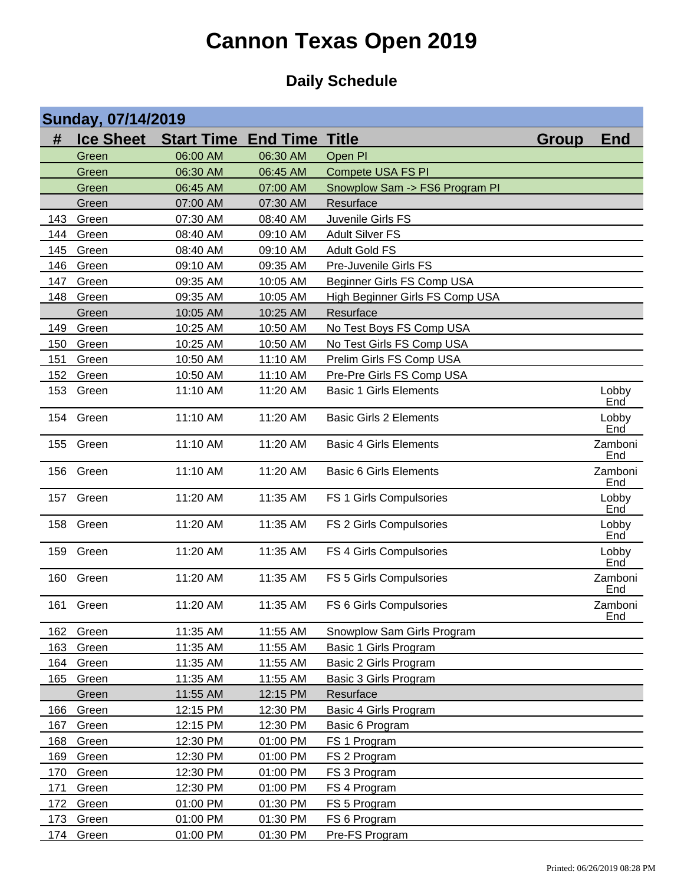|     | <b>Sunday, 07/14/2019</b> |                   |                       |                                 |              |                       |  |  |
|-----|---------------------------|-------------------|-----------------------|---------------------------------|--------------|-----------------------|--|--|
| #   | <b>Ice Sheet</b>          | <b>Start Time</b> | <b>End Time Title</b> |                                 | <b>Group</b> | <b>End</b>            |  |  |
|     | Green                     | 06:00 AM          | 06:30 AM              | Open PI                         |              |                       |  |  |
|     | Green                     | 06:30 AM          | 06:45 AM              | Compete USA FS PI               |              |                       |  |  |
|     | Green                     | 06:45 AM          | 07:00 AM              | Snowplow Sam -> FS6 Program PI  |              |                       |  |  |
|     | Green                     | 07:00 AM          | 07:30 AM              | Resurface                       |              |                       |  |  |
| 143 | Green                     | 07:30 AM          | 08:40 AM              | Juvenile Girls FS               |              |                       |  |  |
| 144 | Green                     | 08:40 AM          | 09:10 AM              | <b>Adult Silver FS</b>          |              |                       |  |  |
| 145 | Green                     | 08:40 AM          | 09:10 AM              | <b>Adult Gold FS</b>            |              |                       |  |  |
| 146 | Green                     | 09:10 AM          | 09:35 AM              | Pre-Juvenile Girls FS           |              |                       |  |  |
| 147 | Green                     | 09:35 AM          | 10:05 AM              | Beginner Girls FS Comp USA      |              |                       |  |  |
| 148 | Green                     | 09:35 AM          | 10:05 AM              | High Beginner Girls FS Comp USA |              |                       |  |  |
|     | Green                     | 10:05 AM          | 10:25 AM              | Resurface                       |              |                       |  |  |
| 149 | Green                     | 10:25 AM          | 10:50 AM              | No Test Boys FS Comp USA        |              |                       |  |  |
| 150 | Green                     | 10:25 AM          | 10:50 AM              | No Test Girls FS Comp USA       |              |                       |  |  |
| 151 | Green                     | 10:50 AM          | 11:10 AM              | Prelim Girls FS Comp USA        |              |                       |  |  |
| 152 | Green                     | 10:50 AM          | 11:10 AM              | Pre-Pre Girls FS Comp USA       |              |                       |  |  |
| 153 | Green                     | 11:10 AM          | 11:20 AM              | <b>Basic 1 Girls Elements</b>   |              | Lobby<br>End          |  |  |
| 154 | Green                     | 11:10 AM          | 11:20 AM              | <b>Basic Girls 2 Elements</b>   |              | Lobby<br>End          |  |  |
| 155 | Green                     | 11:10 AM          | 11:20 AM              | <b>Basic 4 Girls Elements</b>   |              | Zamboni<br>End        |  |  |
| 156 | Green                     | 11:10 AM          | 11:20 AM              | <b>Basic 6 Girls Elements</b>   |              | Zamboni<br>End        |  |  |
| 157 | Green                     | 11:20 AM          | 11:35 AM              | FS 1 Girls Compulsories         |              | Lobby<br>End          |  |  |
| 158 | Green                     | 11:20 AM          | 11:35 AM              | FS 2 Girls Compulsories         |              | Lobby<br>End          |  |  |
| 159 | Green                     | 11:20 AM          | 11:35 AM              | FS 4 Girls Compulsories         |              | Lobby<br>End          |  |  |
| 160 | Green                     | 11:20 AM          | 11:35 AM              | FS 5 Girls Compulsories         |              | Zamboni<br>End        |  |  |
| 161 | Green                     | 11:20 AM          | 11:35 AM              | FS 6 Girls Compulsories         |              | Zamboni<br><u>End</u> |  |  |
| 162 | Green                     | 11:35 AM          | 11:55 AM              | Snowplow Sam Girls Program      |              |                       |  |  |
| 163 | Green                     | 11:35 AM          | 11:55 AM              | Basic 1 Girls Program           |              |                       |  |  |
| 164 | Green                     | 11:35 AM          | 11:55 AM              | Basic 2 Girls Program           |              |                       |  |  |
| 165 | Green                     | 11:35 AM          | 11:55 AM              | Basic 3 Girls Program           |              |                       |  |  |
|     | Green                     | 11:55 AM          | 12:15 PM              | Resurface                       |              |                       |  |  |
| 166 | Green                     | 12:15 PM          | 12:30 PM              | Basic 4 Girls Program           |              |                       |  |  |
| 167 | Green                     | 12:15 PM          | 12:30 PM              | Basic 6 Program                 |              |                       |  |  |
| 168 | Green                     | 12:30 PM          | 01:00 PM              | FS 1 Program                    |              |                       |  |  |
| 169 | Green                     | 12:30 PM          | 01:00 PM              | FS 2 Program                    |              |                       |  |  |
| 170 | Green                     | 12:30 PM          | 01:00 PM              | FS 3 Program                    |              |                       |  |  |
| 171 | Green                     | 12:30 PM          | 01:00 PM              | FS 4 Program                    |              |                       |  |  |
| 172 | Green                     | 01:00 PM          | 01:30 PM              | FS 5 Program                    |              |                       |  |  |
| 173 | Green                     | 01:00 PM          | 01:30 PM              | FS 6 Program                    |              |                       |  |  |
| 174 | Green                     | 01:00 PM          | 01:30 PM              | Pre-FS Program                  |              |                       |  |  |